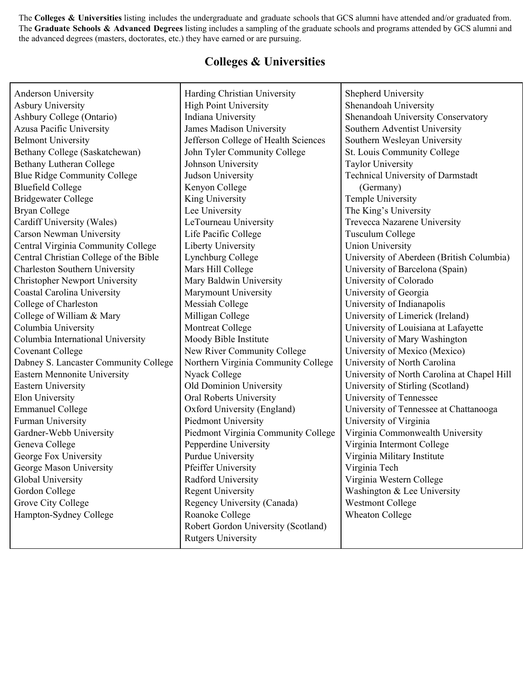The **Colleges & Universities** listing includes the undergraduate and graduate schools that GCS alumni have attended and/or graduated from. The **Graduate Schools & Advanced Degrees** listing includes a sampling of the graduate schools and programs attended by GCS alumni and the advanced degrees (masters, doctorates, etc.) they have earned or are pursuing.

## **Colleges & Universities**

| Anderson University                    | Harding Christian University         | Shepherd University                         |
|----------------------------------------|--------------------------------------|---------------------------------------------|
| <b>Asbury University</b>               | <b>High Point University</b>         | Shenandoah University                       |
| Ashbury College (Ontario)              | Indiana University                   | Shenandoah University Conservatory          |
| Azusa Pacific University               | James Madison University             | Southern Adventist University               |
| <b>Belmont University</b>              | Jefferson College of Health Sciences | Southern Wesleyan University                |
| Bethany College (Saskatchewan)         | John Tyler Community College         | St. Louis Community College                 |
| <b>Bethany Lutheran College</b>        | Johnson University                   | <b>Taylor University</b>                    |
| <b>Blue Ridge Community College</b>    | Judson University                    | Technical University of Darmstadt           |
| <b>Bluefield College</b>               | Kenyon College                       | (Germany)                                   |
| <b>Bridgewater College</b>             | King University                      | Temple University                           |
| <b>Bryan College</b>                   | Lee University                       | The King's University                       |
| Cardiff University (Wales)             | LeTourneau University                | Trevecca Nazarene University                |
| Carson Newman University               | Life Pacific College                 | <b>Tusculum College</b>                     |
| Central Virginia Community College     | <b>Liberty University</b>            | <b>Union University</b>                     |
| Central Christian College of the Bible | Lynchburg College                    | University of Aberdeen (British Columbia)   |
| <b>Charleston Southern University</b>  | Mars Hill College                    | University of Barcelona (Spain)             |
| <b>Christopher Newport University</b>  | Mary Baldwin University              | University of Colorado                      |
| <b>Coastal Carolina University</b>     | Marymount University                 | University of Georgia                       |
| College of Charleston                  | <b>Messiah College</b>               | University of Indianapolis                  |
| College of William & Mary              | Milligan College                     | University of Limerick (Ireland)            |
| Columbia University                    | Montreat College                     | University of Louisiana at Lafayette        |
| Columbia International University      | Moody Bible Institute                | University of Mary Washington               |
| <b>Covenant College</b>                | New River Community College          | University of Mexico (Mexico)               |
| Dabney S. Lancaster Community College  | Northern Virginia Community College  | University of North Carolina                |
| Eastern Mennonite University           | Nyack College                        | University of North Carolina at Chapel Hill |
| <b>Eastern University</b>              | Old Dominion University              | University of Stirling (Scotland)           |
| Elon University                        | Oral Roberts University              | University of Tennessee                     |
| <b>Emmanuel College</b>                | Oxford University (England)          | University of Tennessee at Chattanooga      |
| Furman University                      | Piedmont University                  | University of Virginia                      |
| Gardner-Webb University                | Piedmont Virginia Community College  | Virginia Commonwealth University            |
| Geneva College                         | Pepperdine University                | Virginia Intermont College                  |
| George Fox University                  | <b>Purdue University</b>             | Virginia Military Institute                 |
| George Mason University                | Pfeiffer University                  | Virginia Tech                               |
| Global University                      | Radford University                   | Virginia Western College                    |
| Gordon College                         | <b>Regent University</b>             | Washington & Lee University                 |
| Grove City College                     | Regency University (Canada)          | <b>Westmont College</b>                     |
| Hampton-Sydney College                 | Roanoke College                      | <b>Wheaton College</b>                      |
|                                        | Robert Gordon University (Scotland)  |                                             |
|                                        | <b>Rutgers University</b>            |                                             |